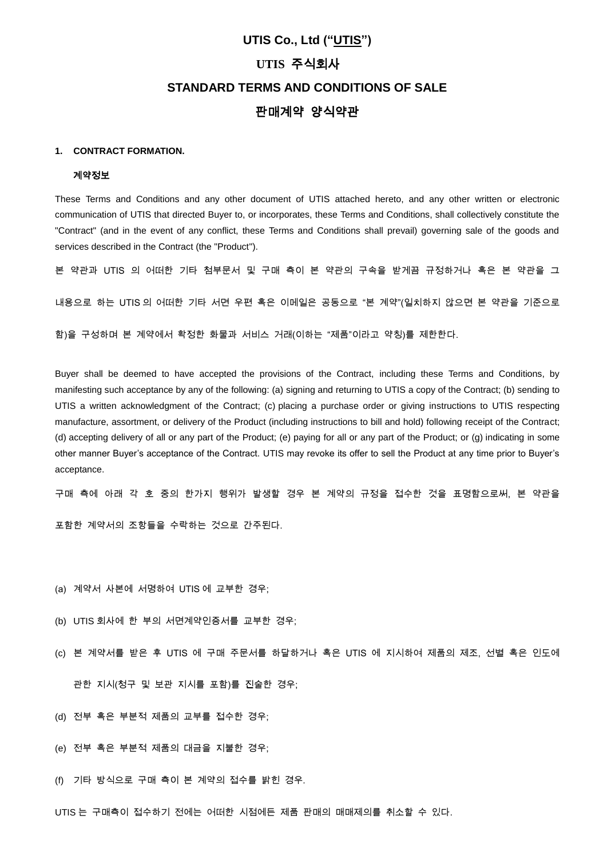# **UTIS Co., Ltd ("UTIS") UTIS** 주식회사 **STANDARD TERMS AND CONDITIONS OF SALE** 판매계약 양식약관

# **1. CONTRACT FORMATION.**

#### 계약정보

These Terms and Conditions and any other document of UTIS attached hereto, and any other written or electronic communication of UTIS that directed Buyer to, or incorporates, these Terms and Conditions, shall collectively constitute the "Contract" (and in the event of any conflict, these Terms and Conditions shall prevail) governing sale of the goods and services described in the Contract (the "Product").

본 약관과 UTIS 의 어떠한 기타 첨부문서 및 구매 측이 본 약관의 구속을 받게끔 규정하거나 혹은 본 약관을 그

내용으로 하는 UTIS 의 어떠한 기타 서면 우편 혹은 이메일은 공동으로 "본 계약"(일치하지 않으면 본 약관을 기준으로

함)을 구성하며 본 계약에서 확정한 화물과 서비스 거래(이하는 "제품"이라고 약칭)를 제한한다.

Buyer shall be deemed to have accepted the provisions of the Contract, including these Terms and Conditions, by manifesting such acceptance by any of the following: (a) signing and returning to UTIS a copy of the Contract; (b) sending to UTIS a written acknowledgment of the Contract; (c) placing a purchase order or giving instructions to UTIS respecting manufacture, assortment, or delivery of the Product (including instructions to bill and hold) following receipt of the Contract; (d) accepting delivery of all or any part of the Product; (e) paying for all or any part of the Product; or (g) indicating in some other manner Buyer's acceptance of the Contract. UTIS may revoke its offer to sell the Product at any time prior to Buyer's acceptance.

구매 측에 아래 각 호 중의 한가지 행위가 발생할 경우 본 계약의 규정을 접수한 것을 표명함으로써, 본 약관을

포함한 계약서의 조항들을 수락하는 것으로 간주된다.

- (a) 계약서 사본에 서명하여 UTIS 에 교부한 경우;
- (b) UTIS 회사에 한 부의 서면계약인증서를 교부한 경우;
- (c) 본 계약서를 받은 후 UTIS 에 구매 주문서를 하달하거나 혹은 UTIS 에 지시하여 제품의 제조, 선별 혹은 인도에

관한 지시(청구 및 보관 지시를 포함)를 진술한 경우;

- (d) 전부 혹은 부분적 제품의 교부를 접수한 경우;
- (e) 전부 혹은 부분적 제품의 대금을 지불한 경우;
- (f) 기타 방식으로 구매 측이 본 계약의 접수를 밝힌 경우.

UTIS 는 구매측이 접수하기 전에는 어떠한 시점에든 제품 판매의 매매제의를 취소할 수 있다.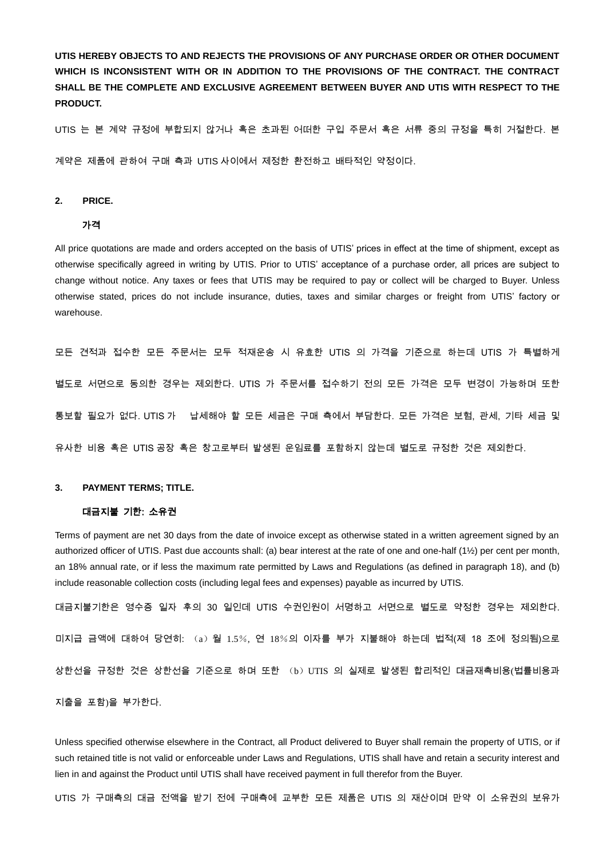**UTIS HEREBY OBJECTS TO AND REJECTS THE PROVISIONS OF ANY PURCHASE ORDER OR OTHER DOCUMENT WHICH IS INCONSISTENT WITH OR IN ADDITION TO THE PROVISIONS OF THE CONTRACT. THE CONTRACT SHALL BE THE COMPLETE AND EXCLUSIVE AGREEMENT BETWEEN BUYER AND UTIS WITH RESPECT TO THE PRODUCT.** 

UTIS 는 본 계약 규정에 부합되지 않거나 혹은 초과된 어떠한 구입 주문서 혹은 서류 중의 규정을 특히 거절한다. 본

계약은 제품에 관하여 구매 측과 UTIS 사이에서 제정한 환전하고 배타적인 약정이다.

# **2. PRICE.**

#### 가격

All price quotations are made and orders accepted on the basis of UTIS' prices in effect at the time of shipment, except as otherwise specifically agreed in writing by UTIS. Prior to UTIS' acceptance of a purchase order, all prices are subject to change without notice. Any taxes or fees that UTIS may be required to pay or collect will be charged to Buyer. Unless otherwise stated, prices do not include insurance, duties, taxes and similar charges or freight from UTIS' factory or warehouse.

모든 견적과 접수한 모든 주문서는 모두 적재운송 시 유효한 UTIS 의 가격을 기준으로 하는데 UTIS 가 특별하게 별도로 서면으로 동의한 경우는 제외한다. UTIS 가 주문서를 접수하기 전의 모든 가격은 모두 변경이 가능하며 또한 통보할 필요가 없다. UTIS 가 납세해야 할 모든 세금은 구매 측에서 부담한다. 모든 가격은 보험, 관세, 기타 세금 및 유사한 비용 혹은 UTIS 공장 혹은 창고로부터 발생된 운임료를 포함하지 않는데 별도로 규정한 것은 제외한다.

#### **3. PAYMENT TERMS; TITLE.**

# 대금지불 기한: 소유권

Terms of payment are net 30 days from the date of invoice except as otherwise stated in a written agreement signed by an authorized officer of UTIS. Past due accounts shall: (a) bear interest at the rate of one and one-half (1½) per cent per month, an 18% annual rate, or if less the maximum rate permitted by Laws and Regulations (as defined in paragraph 18), and (b) include reasonable collection costs (including legal fees and expenses) payable as incurred by UTIS.

대금지불기한은 영수증 일자 후의 30 일인데 UTIS 수권인원이 서명하고 서면으로 별도로 약정한 경우는 제외한다. 미지급 금액에 대하여 당연히: (a)월 1.5%, 연 18%의 이자를 부가 지불해야 하는데 법적(제 18 조에 정의됨)으로 상한선을 규정한 것은 상한선을 기준으로 하며 또한 (b)UTIS 의 실제로 발생된 합리적인 대금재촉비용(법률비용과 지출을 포함)을 부가한다.

Unless specified otherwise elsewhere in the Contract, all Product delivered to Buyer shall remain the property of UTIS, or if such retained title is not valid or enforceable under Laws and Regulations, UTIS shall have and retain a security interest and lien in and against the Product until UTIS shall have received payment in full therefor from the Buyer.

UTIS 가 구매측의 대금 전액을 받기 전에 구매측에 교부한 모든 제품은 UTIS 의 재산이며 만약 이 소유권의 보유가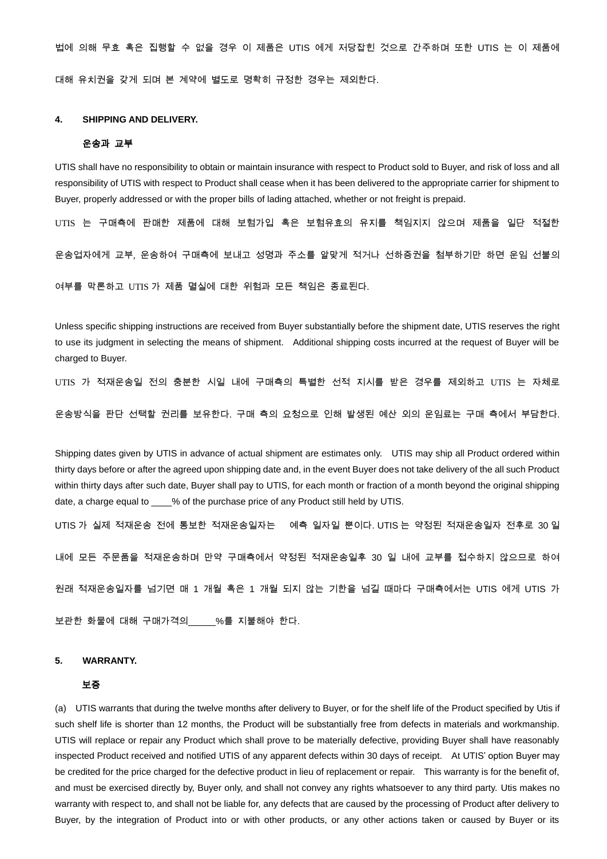법에 의해 무효 혹은 집행할 수 없을 경우 이 제품은 UTIS 에게 저당잡힌 것으로 간주하며 또한 UTIS 는 이 제품에 대해 유치권을 갖게 되며 본 계약에 별도로 명확히 규정한 경우는 제외한다.

# **4. SHIPPING AND DELIVERY.**

#### 운송과 교부

UTIS shall have no responsibility to obtain or maintain insurance with respect to Product sold to Buyer, and risk of loss and all responsibility of UTIS with respect to Product shall cease when it has been delivered to the appropriate carrier for shipment to Buyer, properly addressed or with the proper bills of lading attached, whether or not freight is prepaid.

UTIS 는 구매측에 판매한 제품에 대해 보험가입 혹은 보험유효의 유지를 책임지지 않으며 제품을 일단 적절한

운송업자에게 교부, 운송하여 구매측에 보내고 성명과 주소를 알맞게 적거나 선하증권을 첨부하기만 하면 운임 선불의

여부를 막론하고 UTIS 가 제품 멸실에 대한 위험과 모든 책임은 종료된다.

Unless specific shipping instructions are received from Buyer substantially before the shipment date, UTIS reserves the right to use its judgment in selecting the means of shipment. Additional shipping costs incurred at the request of Buyer will be charged to Buver.

UTIS 가 적재운송일 전의 충분한 시일 내에 구매측의 특별한 선적 지시를 받은 경우를 제외하고 UTIS 는 자체로

운송방식을 판단 선택할 권리를 보유한다. 구매 측의 요청으로 인해 발생된 예산 외의 운임료는 구매 측에서 부담한다.

Shipping dates given by UTIS in advance of actual shipment are estimates only. UTIS may ship all Product ordered within thirty days before or after the agreed upon shipping date and, in the event Buyer does not take delivery of the all such Product within thirty days after such date, Buyer shall pay to UTIS, for each month or fraction of a month beyond the original shipping date, a charge equal to \_\_\_\_% of the purchase price of any Product still held by UTIS.

UTIS 가 실제 적재운송 전에 통보한 적재운송일자는 예측 일자일 뿐이다. UTIS 는 약정된 적재운송일자 전후로 30 일

내에 모든 주문품을 적재운송하며 만약 구매측에서 약정된 적재운송일후 30 일 내에 교부를 접수하지 않으므로 하여

원래 적재운송일자를 넘기면 매 1 개월 혹은 1 개월 되지 않는 기한을 넘길 때마다 구매측에서는 UTIS 에게 UTIS 가

보관한 화물에 대해 구매가격의 %를 지불해야 한다.

#### **5. WARRANTY.**

#### 보증

(a) UTIS warrants that during the twelve months after delivery to Buyer, or for the shelf life of the Product specified by Utis if such shelf life is shorter than 12 months, the Product will be substantially free from defects in materials and workmanship. UTIS will replace or repair any Product which shall prove to be materially defective, providing Buyer shall have reasonably inspected Product received and notified UTIS of any apparent defects within 30 days of receipt. At UTIS' option Buyer may be credited for the price charged for the defective product in lieu of replacement or repair. This warranty is for the benefit of, and must be exercised directly by, Buyer only, and shall not convey any rights whatsoever to any third party. Utis makes no warranty with respect to, and shall not be liable for, any defects that are caused by the processing of Product after delivery to Buyer, by the integration of Product into or with other products, or any other actions taken or caused by Buyer or its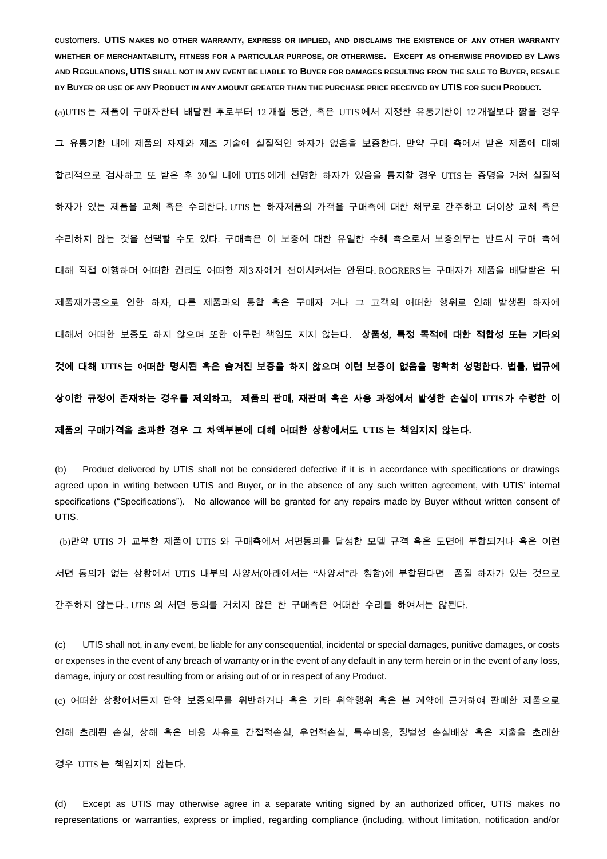customers. **UTIS MAKES NO OTHER WARRANTY, EXPRESS OR IMPLIED, AND DISCLAIMS THE EXISTENCE OF ANY OTHER WARRANTY WHETHER OF MERCHANTABILITY, FITNESS FOR A PARTICULAR PURPOSE, OR OTHERWISE. EXCEPT AS OTHERWISE PROVIDED BY LAWS AND REGULATIONS, UTIS SHALL NOT IN ANY EVENT BE LIABLE TO BUYER FOR DAMAGES RESULTING FROM THE SALE TO BUYER, RESALE BY BUYER OR USE OF ANY PRODUCT IN ANY AMOUNT GREATER THAN THE PURCHASE PRICE RECEIVED BY UTIS FOR SUCH PRODUCT.**

(a)UTIS 는 제품이 구매자한테 배달된 후로부터 12 개월 동안, 혹은 UTIS 에서 지정한 유통기한이 12 개월보다 짧을 경우 그 유통기한 내에 제품의 자재와 제조 기술에 실질적인 하자가 없음을 보증한다. 만약 구매 측에서 받은 제품에 대해 합리적으로 검사하고 또 받은 후 30 일 내에 UTIS 에게 선명한 하자가 있음을 통지할 경우 UTIS 는 증명을 거쳐 실질적 하자가 있는 제품을 교체 혹은 수리한다. UTIS 는 하자제품의 가격을 구매측에 대한 채무로 간주하고 더이상 교체 혹은 수리하지 않는 것을 선택할 수도 있다. 구매측은 이 보증에 대한 유일한 수혜 측으로서 보증의무는 반드시 구매 측에 대해 직접 이행하며 어떠한 권리도 어떠한 제3자에게 전이시켜서는 안된다. ROGRERS는 구매자가 제품을 배달받은 뒤 제품재가공으로 인한 하자, 다른 제품과의 통합 혹은 구매자 거나 그 고객의 어떠한 행위로 인해 발생된 하자에 대해서 어떠한 보증도 하지 않으며 또한 아무런 책임도 지지 않는다. 상품성**,** 특정 목적에 대한 적합성 또는 기타의 것에 대해 **UTIS**는 어떠한 명시된 혹은 숨겨진 보증을 하지 않으며 이런 보증이 없음을 명확히 성명한다**.** 법률**,** 법규에 상이한 규정이 존재하는 경우를 제외하고**,** 제품의 판매**,** 재판매 혹은 사용 과정에서 발생한 손실이 **UTIS**가 수령한 이 제품의 구매가격을 초과한 경우 그 차액부분에 대해 어떠한 상황에서도 **UTIS** 는 책임지지 않는다**.** 

(b) Product delivered by UTIS shall not be considered defective if it is in accordance with specifications or drawings agreed upon in writing between UTIS and Buyer, or in the absence of any such written agreement, with UTIS' internal specifications ("Specifications"). No allowance will be granted for any repairs made by Buyer without written consent of UTIS.

(b)만약 UTIS 가 교부한 제품이 UTIS 와 구매측에서 서면동의를 달성한 모델 규격 혹은 도면에 부합되거나 혹은 이런

서면 동의가 없는 상황에서 UTIS 내부의 사양서(아래에서는 "사양서"라 칭함)에 부합된다면 품질 하자가 있는 것으로

간주하지 않는다.. UTIS 의 서면 동의를 거치지 않은 한 구매측은 어떠한 수리를 하여서는 않된다.

(c) UTIS shall not, in any event, be liable for any consequential, incidental or special damages, punitive damages, or costs or expenses in the event of any breach of warranty or in the event of any default in any term herein or in the event of any loss, damage, injury or cost resulting from or arising out of or in respect of any Product.

(c) 어떠한 상황에서든지 만약 보증의무를 위반하거나 혹은 기타 위약행위 혹은 본 계약에 근거하여 판매한 제품으로

인해 초래된 손실, 상해 혹은 비용 사유로 간접적손실, 우연적손실, 특수비용, 징벌성 손실배상 혹은 지출을 초래한

경우 UTIS 는 책임지지 않는다.

(d) Except as UTIS may otherwise agree in a separate writing signed by an authorized officer, UTIS makes no representations or warranties, express or implied, regarding compliance (including, without limitation, notification and/or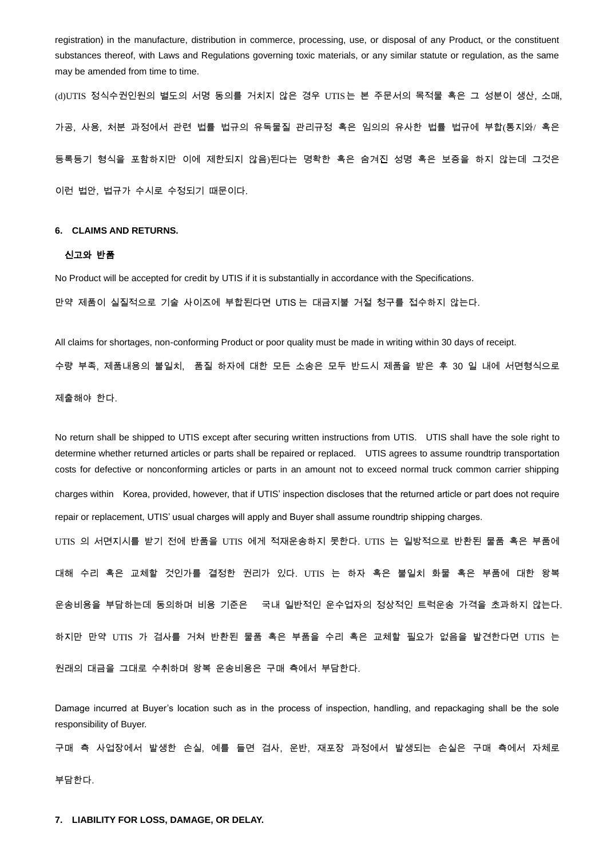registration) in the manufacture, distribution in commerce, processing, use, or disposal of any Product, or the constituent substances thereof, with Laws and Regulations governing toxic materials, or any similar statute or regulation, as the same may be amended from time to time.

(d)UTIS 정식수권인원의 별도의 서명 동의를 거치지 않은 경우 UTIS는 본 주문서의 목적물 혹은 그 성분이 생산, 소매, 가공, 사용, 처분 과정에서 관련 법률 법규의 유독물질 관리규정 혹은 임의의 유사한 법률 법규에 부합(통지와/ 혹은 등록등기 형식을 포함하지만 이에 제한되지 않음)된다는 명확한 혹은 숨겨진 성명 혹은 보증을 하지 않는데 그것은 이런 법안, 법규가 수시로 수정되기 때문이다.

#### **6. CLAIMS AND RETURNS.**

#### 신고와 반품

No Product will be accepted for credit by UTIS if it is substantially in accordance with the Specifications. 만약 제품이 실질적으로 기술 사이즈에 부합된다면 UTIS 는 대금지불 거절 청구를 접수하지 않는다.

All claims for shortages, non-conforming Product or poor quality must be made in writing within 30 days of receipt.

수량 부족, 제품내용의 불일치, 품질 하자에 대한 모든 소송은 모두 반드시 제품을 받은 후 30 일 내에 서면형식으로

제출해야 한다.

No return shall be shipped to UTIS except after securing written instructions from UTIS. UTIS shall have the sole right to determine whether returned articles or parts shall be repaired or replaced. UTIS agrees to assume roundtrip transportation costs for defective or nonconforming articles or parts in an amount not to exceed normal truck common carrier shipping charges within Korea, provided, however, that if UTIS' inspection discloses that the returned article or part does not require repair or replacement, UTIS' usual charges will apply and Buyer shall assume roundtrip shipping charges. UTIS 의 서면지시를 받기 전에 반품을 UTIS 에게 적재운송하지 못한다. UTIS 는 일방적으로 반환된 물품 혹은 부품에 대해 수리 혹은 교체할 것인가를 결정한 권리가 있다. UTIS 는 하자 혹은 불일치 화물 혹은 부품에 대한 왕복 운송비용을 부담하는데 동의하며 비용 기준은 국내 일반적인 운수업자의 정상적인 트럭운송 가격을 초과하지 않는다. 하지만 만약 UTIS 가 검사를 거쳐 반환된 물품 혹은 부품을 수리 혹은 교체할 필요가 없음을 발견한다면 UTIS 는 원래의 대금을 그대로 수취하며 왕복 운송비용은 구매 측에서 부담한다.

Damage incurred at Buyer's location such as in the process of inspection, handling, and repackaging shall be the sole responsibility of Buyer.

구매 측 사업장에서 발생한 손실, 예를 들면 검사, 운반, 재포장 과정에서 발생되는 손실은 구매 측에서 자체로 부담한다.

**7. LIABILITY FOR LOSS, DAMAGE, OR DELAY.**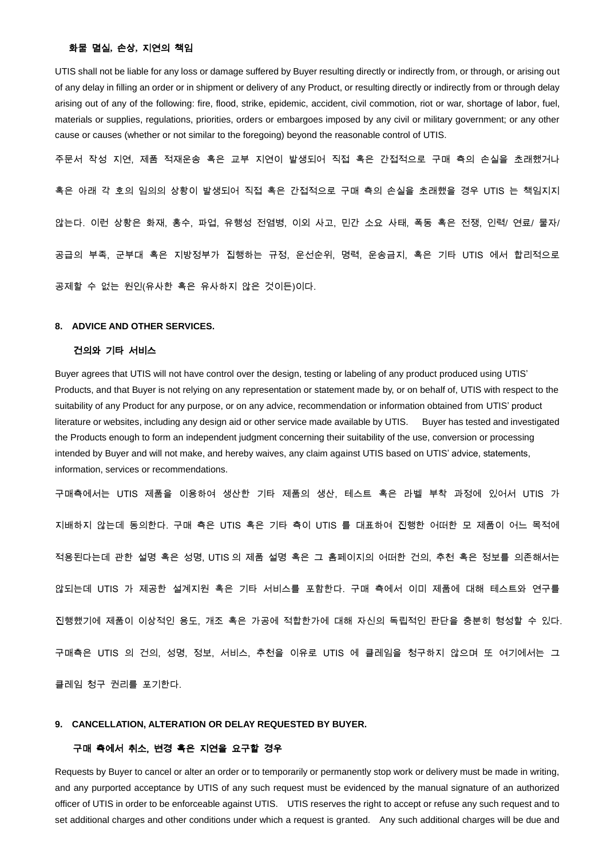#### 화물 멸실**,** 손상**,** 지연의 책임

UTIS shall not be liable for any loss or damage suffered by Buyer resulting directly or indirectly from, or through, or arising out of any delay in filling an order or in shipment or delivery of any Product, or resulting directly or indirectly from or through delay arising out of any of the following: fire, flood, strike, epidemic, accident, civil commotion, riot or war, shortage of labor, fuel, materials or supplies, regulations, priorities, orders or embargoes imposed by any civil or military government; or any other cause or causes (whether or not similar to the foregoing) beyond the reasonable control of UTIS.

주문서 작성 지연, 제품 적재운송 혹은 교부 지연이 발생되어 직접 혹은 간접적으로 구매 측의 손실을 초래했거나 혹은 아래 각 호의 임의의 상황이 발생되어 직접 혹은 간접적으로 구매 측의 손실을 초래했을 경우 UTIS 는 책임지지 않는다. 이런 상황은 화재, 홍수, 파업, 유행성 전염병, 이외 사고, 민간 소요 사태, 폭동 혹은 전쟁, 인력/ 연료/ 물자/ 공급의 부족, 군부대 혹은 지방정부가 집행하는 규정, 운선순위, 명력, 운송금지, 혹은 기타 UTIS 에서 합리적으로 공제할 수 없는 원인(유사한 혹은 유사하지 않은 것이든)이다.

#### **8. ADVICE AND OTHER SERVICES.**

#### 건의와 기타 서비스

Buyer agrees that UTIS will not have control over the design, testing or labeling of any product produced using UTIS' Products, and that Buyer is not relying on any representation or statement made by, or on behalf of, UTIS with respect to the suitability of any Product for any purpose, or on any advice, recommendation or information obtained from UTIS' product literature or websites, including any design aid or other service made available by UTIS. Buyer has tested and investigated the Products enough to form an independent judgment concerning their suitability of the use, conversion or processing intended by Buyer and will not make, and hereby waives, any claim against UTIS based on UTIS' advice, statements, information, services or recommendations.

구매측에서는 UTIS 제품을 이용하여 생산한 기타 제품의 생산, 테스트 혹은 라벨 부착 과정에 있어서 UTIS 가 지배하지 않는데 동의한다. 구매 측은 UTIS 혹은 기타 측이 UTIS 를 대표하여 진행한 어떠한 모 제품이 어느 목적에 적용된다는데 관한 설명 혹은 성명, UTIS 의 제품 설명 혹은 그 홈페이지의 어떠한 건의, 추천 혹은 정보를 의존해서는 않되는데 UTIS 가 제공한 설계지원 혹은 기타 서비스를 포함한다. 구매 측에서 이미 제품에 대해 테스트와 연구를 진행했기에 제품이 이상적인 용도, 개조 혹은 가공에 적합한가에 대해 자신의 독립적인 판단을 충분히 형성할 수 있다. 구매측은 UTIS 의 건의, 성명, 정보, 서비스, 추천을 이유로 UTIS 에 클레임을 청구하지 않으며 또 여기에서는 그 클레임 청구 권리를 포기한다.

#### **9. CANCELLATION, ALTERATION OR DELAY REQUESTED BY BUYER.**

#### 구매 측에서 취소, 변경 혹은 지연을 요구할 경우

Requests by Buyer to cancel or alter an order or to temporarily or permanently stop work or delivery must be made in writing, and any purported acceptance by UTIS of any such request must be evidenced by the manual signature of an authorized officer of UTIS in order to be enforceable against UTIS. UTIS reserves the right to accept or refuse any such request and to set additional charges and other conditions under which a request is granted. Any such additional charges will be due and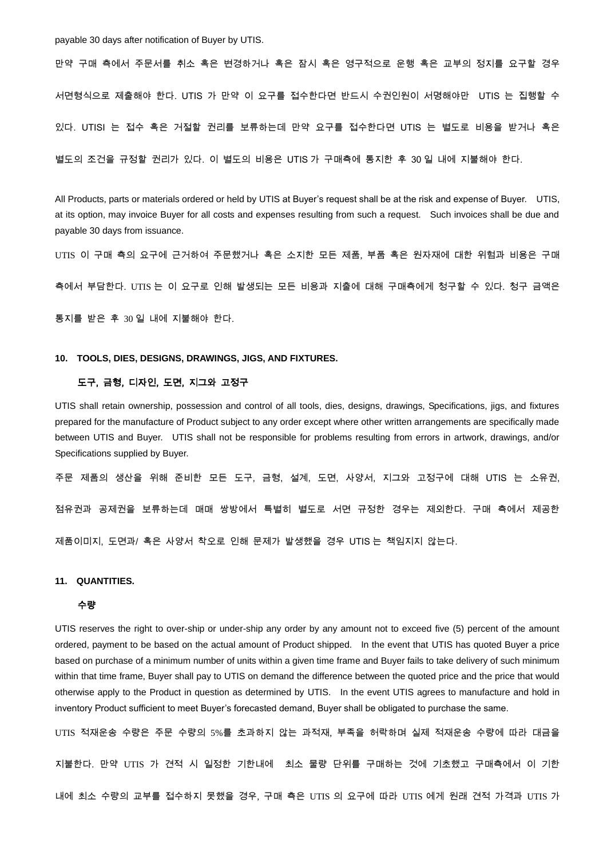payable 30 days after notification of Buyer by UTIS.

만약 구매 측에서 주문서를 취소 혹은 변경하거나 혹은 잠시 혹은 영구적으로 운행 혹은 교부의 정지를 요구할 경우 서면형식으로 제출해야 한다. UTIS 가 만약 이 요구를 접수한다면 반드시 수권인원이 서명해야만 UTIS 는 집행할 수 있다. UTISI 는 접수 혹은 거절할 권리를 보류하는데 만약 요구를 접수한다면 UTIS 는 별도로 비용을 받거나 혹은 별도의 조건을 규정할 권리가 있다. 이 별도의 비용은 UTIS 가 구매측에 통지한 후 30 일 내에 지불해야 한다.

All Products, parts or materials ordered or held by UTIS at Buyer's request shall be at the risk and expense of Buyer. UTIS, at its option, may invoice Buyer for all costs and expenses resulting from such a request. Such invoices shall be due and payable 30 days from issuance.

UTIS 이 구매 측의 요구에 근거하여 주문했거나 혹은 소지한 모든 제품, 부품 혹은 원자재에 대한 위험과 비용은 구매

측에서 부담한다. UTIS 는 이 요구로 인해 발생되는 모든 비용과 지출에 대해 구매측에게 청구할 수 있다. 청구 금액은

통지를 받은 후 30 일 내에 지불해야 한다.

#### **10. TOOLS, DIES, DESIGNS, DRAWINGS, JIGS, AND FIXTURES.**

#### 도구, 금형, 디자인, 도면, 지그와 고정구

UTIS shall retain ownership, possession and control of all tools, dies, designs, drawings, Specifications, jigs, and fixtures prepared for the manufacture of Product subject to any order except where other written arrangements are specifically made between UTIS and Buyer. UTIS shall not be responsible for problems resulting from errors in artwork, drawings, and/or Specifications supplied by Buyer.

주문 제품의 생산을 위해 준비한 모든 도구, 금형, 설계, 도면, 사양서, 지그와 고정구에 대해 UTIS 는 소유권, 점유권과 공제권을 보류하는데 매매 쌍방에서 특별히 별도로 서면 규정한 경우는 제외한다. 구매 측에서 제공한 제품이미지, 도면과/ 혹은 사양서 착오로 인해 문제가 발생했을 경우 UTIS 는 책임지지 않는다.

#### **11. QUANTITIES.**

#### 수량

UTIS reserves the right to over-ship or under-ship any order by any amount not to exceed five (5) percent of the amount ordered, payment to be based on the actual amount of Product shipped. In the event that UTIS has quoted Buyer a price based on purchase of a minimum number of units within a given time frame and Buyer fails to take delivery of such minimum within that time frame, Buyer shall pay to UTIS on demand the difference between the quoted price and the price that would otherwise apply to the Product in question as determined by UTIS. In the event UTIS agrees to manufacture and hold in inventory Product sufficient to meet Buyer's forecasted demand, Buyer shall be obligated to purchase the same.

UTIS 적재운송 수량은 주문 수량의 5%를 초과하지 않는 과적재, 부족을 허락하며 실제 적재운송 수량에 따라 대금을 지불한다. 만약 UTIS 가 견적 시 일정한 기한내에 최소 물량 단위를 구매하는 것에 기초했고 구매측에서 이 기한 내에 최소 수량의 교부를 접수하지 못했을 경우, 구매 측은 UTIS 의 요구에 따라 UTIS 에게 원래 견적 가격과 UTIS 가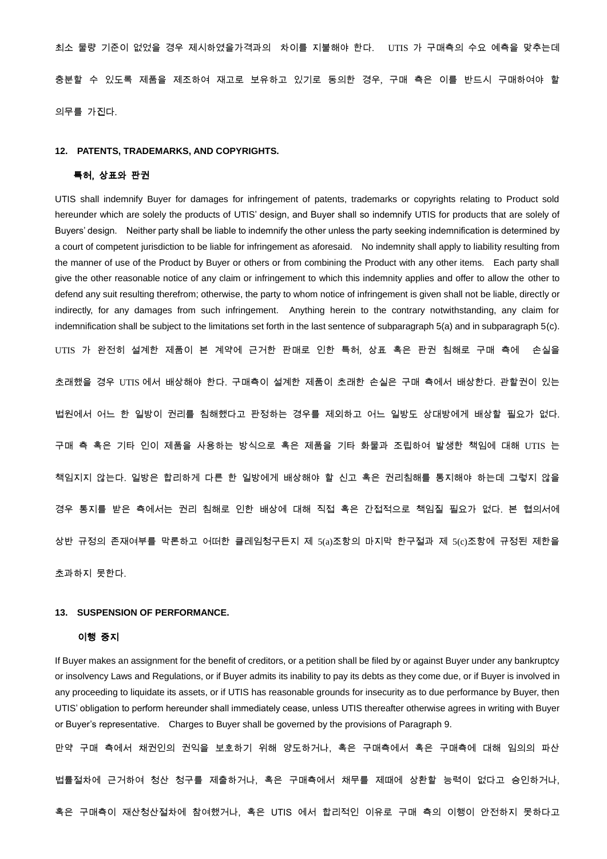최소 물량 기준이 없었을 경우 제시하였을가격과의 차이를 지불해야 한다. UTIS 가 구매측의 수요 예측을 맞추는데 충분할 수 있도록 제품을 제조하여 재고로 보유하고 있기로 동의한 경우, 구매 측은 이를 반드시 구매하여야 할 의무를 가진다.

#### **12. PATENTS, TRADEMARKS, AND COPYRIGHTS.**

# 특허, 상표와 판권

UTIS shall indemnify Buyer for damages for infringement of patents, trademarks or copyrights relating to Product sold hereunder which are solely the products of UTIS' design, and Buyer shall so indemnify UTIS for products that are solely of Buyers' design. Neither party shall be liable to indemnify the other unless the party seeking indemnification is determined by a court of competent jurisdiction to be liable for infringement as aforesaid. No indemnity shall apply to liability resulting from the manner of use of the Product by Buyer or others or from combining the Product with any other items. Each party shall give the other reasonable notice of any claim or infringement to which this indemnity applies and offer to allow the other to defend any suit resulting therefrom; otherwise, the party to whom notice of infringement is given shall not be liable, directly or indirectly, for any damages from such infringement. Anything herein to the contrary notwithstanding, any claim for indemnification shall be subject to the limitations set forth in the last sentence of subparagraph 5(a) and in subparagraph 5(c). UTIS 가 완전히 설계한 제품이 본 계약에 근거한 판매로 인한 특허, 상표 혹은 판권 침해로 구매 측에 손실을 초래했을 경우 UTIS 에서 배상해야 한다. 구매측이 설계한 제품이 초래한 손실은 구매 측에서 배상한다. 관할권이 있는 법원에서 어느 한 일방이 권리를 침해했다고 판정하는 경우를 제외하고 어느 일방도 상대방에게 배상할 필요가 없다. 구매 측 혹은 기타 인이 제품을 사용하는 방식으로 혹은 제품을 기타 화물과 조립하여 발생한 책임에 대해 UTIS 는 책임지지 않는다. 일방은 합리하게 다른 한 일방에게 배상해야 할 신고 혹은 권리침해를 통지해야 하는데 그렇지 않을 경우 통지를 받은 측에서는 권리 침해로 인한 배상에 대해 직접 혹은 간접적으로 책임질 필요가 없다. 본 협의서에 상반 규정의 존재여부를 막론하고 어떠한 클레임청구든지 제 5(a)조항의 마지막 한구절과 제 5(c)조항에 규정된 제한을 초과하지 못한다.

#### **13. SUSPENSION OF PERFORMANCE.**

#### 이행 중지

If Buyer makes an assignment for the benefit of creditors, or a petition shall be filed by or against Buyer under any bankruptcy or insolvency Laws and Regulations, or if Buyer admits its inability to pay its debts as they come due, or if Buyer is involved in any proceeding to liquidate its assets, or if UTIS has reasonable grounds for insecurity as to due performance by Buyer, then UTIS' obligation to perform hereunder shall immediately cease, unless UTIS thereafter otherwise agrees in writing with Buyer or Buyer's representative. Charges to Buyer shall be governed by the provisions of Paragraph 9.

만약 구매 측에서 채권인의 권익을 보호하기 위해 양도하거나, 혹은 구매측에서 혹은 구매측에 대해 임의의 파산 법률절차에 근거하여 청산 청구를 제출하거나, 혹은 구매측에서 채무를 제때에 상환할 능력이 없다고 승인하거나, 혹은 구매측이 재산청산절차에 참여했거나, 혹은 UTIS 에서 합리적인 이유로 구매 측의 이행이 안전하지 못하다고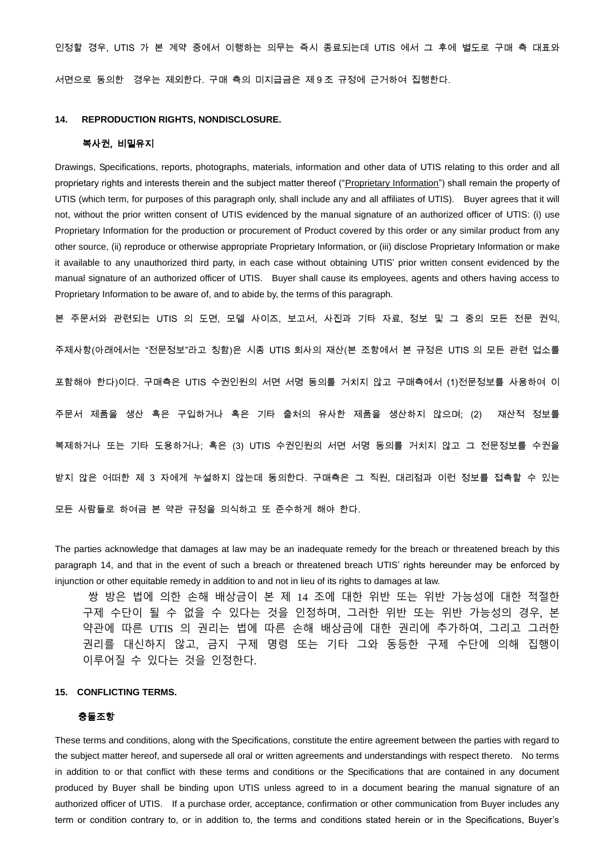인정할 경우, UTIS 가 본 계약 중에서 이행하는 의무는 즉시 종료되는데 UTIS 에서 그 후에 별도로 구매 측 대표와

서면으로 동의한 경우는 제외한다. 구매 측의 미지급금은 제 9 조 규정에 근거하여 집행한다.

#### **14. REPRODUCTION RIGHTS, NONDISCLOSURE.**

# 복사권, 비밀유지

Drawings, Specifications, reports, photographs, materials, information and other data of UTIS relating to this order and all proprietary rights and interests therein and the subject matter thereof ("Proprietary Information") shall remain the property of UTIS (which term, for purposes of this paragraph only, shall include any and all affiliates of UTIS). Buyer agrees that it will not, without the prior written consent of UTIS evidenced by the manual signature of an authorized officer of UTIS: (i) use Proprietary Information for the production or procurement of Product covered by this order or any similar product from any other source, (ii) reproduce or otherwise appropriate Proprietary Information, or (iii) disclose Proprietary Information or make it available to any unauthorized third party, in each case without obtaining UTIS' prior written consent evidenced by the manual signature of an authorized officer of UTIS. Buyer shall cause its employees, agents and others having access to Proprietary Information to be aware of, and to abide by, the terms of this paragraph.

본 주문서와 관련되는 UTIS 의 도면, 모델 사이즈, 보고서, 사진과 기타 자료, 정보 및 그 중의 모든 전문 권익, 주제사항(아래에서는 "전문정보"라고 칭함)은 시종 UTIS 회사의 재산(본 조항에서 본 규정은 UTIS 의 모든 관련 업소를 포함해야 한다)이다. 구매측은 UTIS 수권인원의 서면 서명 동의를 거치지 않고 구매측에서 (1)전문정보를 사용하여 이 주문서 제품을 생산 혹은 구입하거나 혹은 기타 출처의 유사한 제품을 생산하지 않으며; (2) 재산적 정보를 복제하거나 또는 기타 도용하거나; 혹은 (3) UTIS 수권인원의 서면 서명 동의를 거치지 않고 그 전문정보를 수권을 받지 않은 어떠한 제 3 자에게 누설하지 않는데 동의한다. 구매측은 그 직원, 대리점과 이런 정보를 접촉할 수 있는 모든 사람들로 하여금 본 약관 규정을 의식하고 또 준수하게 해야 한다.

The parties acknowledge that damages at law may be an inadequate remedy for the breach or threatened breach by this paragraph 14, and that in the event of such a breach or threatened breach UTIS' rights hereunder may be enforced by injunction or other equitable remedy in addition to and not in lieu of its rights to damages at law.

쌍 방은 법에 의한 손해 배상금이 본 제 14 조에 대한 위반 또는 위반 가능성에 대한 적절한 구제 수단이 될 수 없을 수 있다는 것을 인정하며, 그러한 위반 또는 위반 가능성의 경우, 본 약관에 따른 UTIS 의 권리는 법에 따른 손해 배상금에 대한 권리에 추가하여, 그리고 그러한 권리를 대신하지 않고, 금지 구제 명령 또는 기타 그와 동등한 구제 수단에 의해 집행이 이루어질 수 있다는 것을 인정한다.

#### **15. CONFLICTING TERMS.**

#### 충돌조항

These terms and conditions, along with the Specifications, constitute the entire agreement between the parties with regard to the subject matter hereof, and supersede all oral or written agreements and understandings with respect thereto. No terms in addition to or that conflict with these terms and conditions or the Specifications that are contained in any document produced by Buyer shall be binding upon UTIS unless agreed to in a document bearing the manual signature of an authorized officer of UTIS. If a purchase order, acceptance, confirmation or other communication from Buyer includes any term or condition contrary to, or in addition to, the terms and conditions stated herein or in the Specifications, Buyer's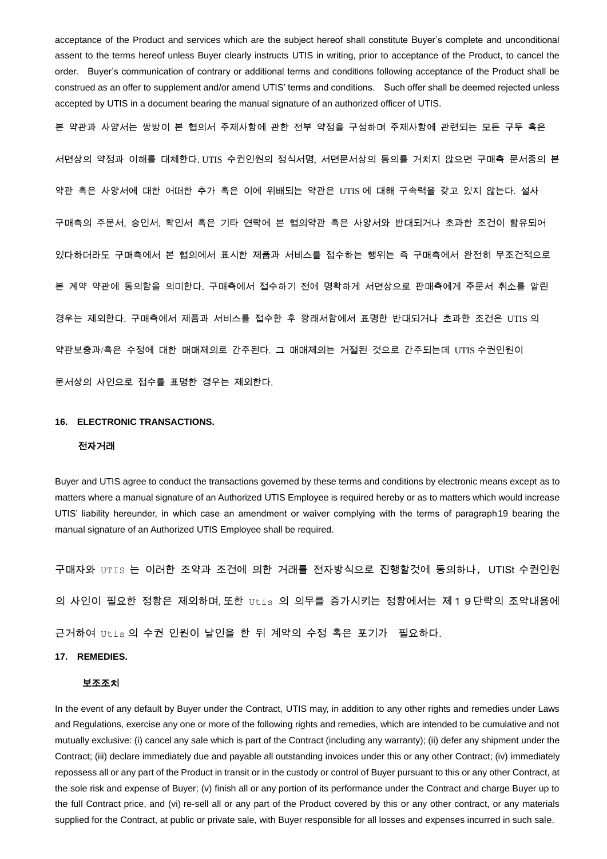acceptance of the Product and services which are the subject hereof shall constitute Buyer's complete and unconditional assent to the terms hereof unless Buyer clearly instructs UTIS in writing, prior to acceptance of the Product, to cancel the order. Buyer's communication of contrary or additional terms and conditions following acceptance of the Product shall be construed as an offer to supplement and/or amend UTIS' terms and conditions. Such offer shall be deemed rejected unless accepted by UTIS in a document bearing the manual signature of an authorized officer of UTIS.

본 약관과 사양서는 쌍방이 본 협의서 주제사항에 관한 전부 약정을 구성하며 주제사항에 관련되는 모든 구두 혹은 서면상의 약정과 이해를 대체한다. UTIS 수권인원의 정식서명, 서면문서상의 동의를 거치지 않으면 구매측 문서중의 본 약관 혹은 사양서에 대한 어떠한 추가 혹은 이에 위배되는 약관은 UTIS 에 대해 구속력을 갖고 있지 않는다. 설사 구매측의 주문서, 승인서, 확인서 혹은 기타 연락에 본 협의약관 혹은 사양서와 반대되거나 초과한 조건이 함유되어 있다하더라도 구매측에서 본 협의에서 표시한 제품과 서비스를 접수하는 행위는 즉 구매측에서 완전히 무조건적으로 본 계약 약관에 동의함을 의미한다. 구매측에서 접수하기 전에 명확하게 서면상으로 판매측에게 주문서 취소를 알린 경우는 제외한다. 구매측에서 제품과 서비스를 접수한 후 왕래서함에서 표명한 반대되거나 초과한 조건은 UTIS 의 약관보충과/혹은 수정에 대한 매매제의로 간주된다. 그 매매제의는 거절된 것으로 간주되는데 UTIS 수권인원이 문서상의 사인으로 접수를 표명한 경우는 제외한다.

#### **16. ELECTRONIC TRANSACTIONS.**

#### 전자거래

Buyer and UTIS agree to conduct the transactions governed by these terms and conditions by electronic means except as to matters where a manual signature of an Authorized UTIS Employee is required hereby or as to matters which would increase UTIS' liability hereunder, in which case an amendment or waiver complying with the terms of paragraph19 bearing the manual signature of an Authorized UTIS Employee shall be required.

구매자와 UTIS 는 이러한 조약과 조건에 의한 거래를 전자방식으로 진행할것에 동의하나, UTISt 수권인원 의 사인이 필요한 정황은 제외하며,또한 Utis 의 의무를 증가시키는 정황에서는 제19단락의 조약내용에 근거하여 Utis 의 수권 인원이 날인을 한 뒤 계약의 수정 혹은 포기가 필요하다.

# **17. REMEDIES.**

#### 보조조치

In the event of any default by Buyer under the Contract, UTIS may, in addition to any other rights and remedies under Laws and Regulations, exercise any one or more of the following rights and remedies, which are intended to be cumulative and not mutually exclusive: (i) cancel any sale which is part of the Contract (including any warranty); (ii) defer any shipment under the Contract; (iii) declare immediately due and payable all outstanding invoices under this or any other Contract; (iv) immediately repossess all or any part of the Product in transit or in the custody or control of Buyer pursuant to this or any other Contract, at the sole risk and expense of Buyer; (v) finish all or any portion of its performance under the Contract and charge Buyer up to the full Contract price, and (vi) re-sell all or any part of the Product covered by this or any other contract, or any materials supplied for the Contract, at public or private sale, with Buyer responsible for all losses and expenses incurred in such sale.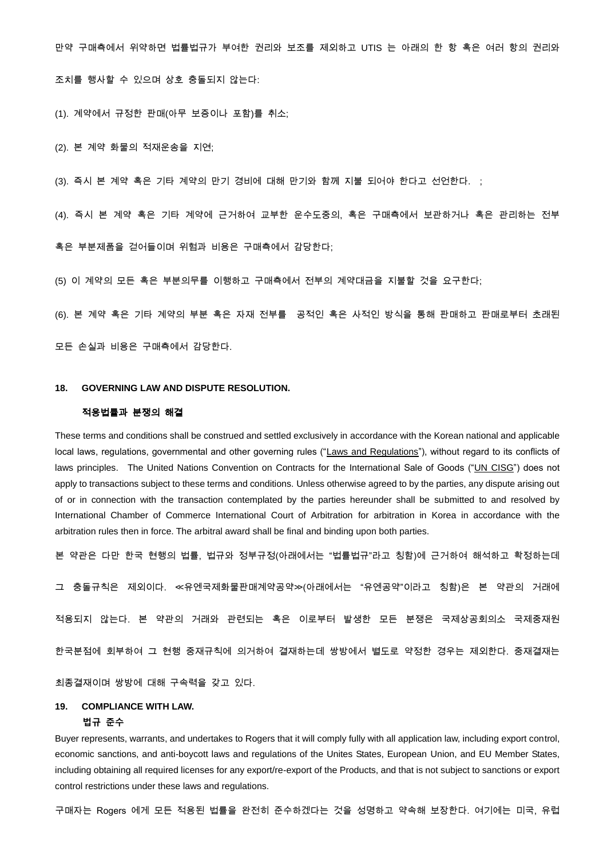만약 구매측에서 위약하면 법률법규가 부여한 권리와 보조를 제외하고 UTIS 는 아래의 한 항 혹은 여러 항의 권리와 조치를 행사할 수 있으며 상호 충돌되지 않는다:

(1). 계약에서 규정한 판매(아무 보증이나 포함)를 취소;

(2). 본 계약 화물의 적재운송을 지연;

(3). 즉시 본 계약 혹은 기타 계약의 만기 경비에 대해 만기와 함께 지불 되어야 한다고 선언한다. ;

(4). 즉시 본 계약 혹은 기타 계약에 근거하여 교부한 운수도중의, 혹은 구매측에서 보관하거나 혹은 관리하는 전부

혹은 부분제품을 걷어들이며 위험과 비용은 구매측에서 감당한다;

(5) 이 계약의 모든 혹은 부분의무를 이행하고 구매측에서 전부의 계약대금을 지불할 것을 요구한다;

(6). 본 계약 혹은 기타 계약의 부분 혹은 자재 전부를 공적인 혹은 사적인 방식을 통해 판매하고 판매로부터 초래된

모든 손실과 비용은 구매측에서 감당한다.

#### **18. GOVERNING LAW AND DISPUTE RESOLUTION.**

#### 적용법률과 분쟁의 해결

These terms and conditions shall be construed and settled exclusively in accordance with the Korean national and applicable local laws, regulations, governmental and other governing rules ("Laws and Regulations"), without regard to its conflicts of laws principles. The United Nations Convention on Contracts for the International Sale of Goods ("UN CISG") does not apply to transactions subject to these terms and conditions. Unless otherwise agreed to by the parties, any dispute arising out of or in connection with the transaction contemplated by the parties hereunder shall be submitted to and resolved by International Chamber of Commerce International Court of Arbitration for arbitration in Korea in accordance with the arbitration rules then in force. The arbitral award shall be final and binding upon both parties.

본 약관은 다만 한국 현행의 법률, 법규와 정부규정(아래에서는 "법률법규"라고 칭함)에 근거하여 해석하고 확정하는데

그 충돌규칙은 제외이다. ≪유엔국제화물판매계약공약≫(아래에서는 "유엔공약"이라고 칭함)은 본 약관의 거래에

적용되지 않는다. 본 약관의 거래와 관련되는 혹은 이로부터 발생한 모든 분쟁은 국제상공회의소 국제중재원

한국분점에 회부하여 그 현행 중재규칙에 의거하여 결재하는데 쌍방에서 별도로 약정한 경우는 제외한다. 중재결재는

최종결재이며 쌍방에 대해 구속력을 갖고 있다.

# **19. COMPLIANCE WITH LAW.**

# **법규 준수**

Buyer represents, warrants, and undertakes to Rogers that it will comply fully with all application law, including export control, economic sanctions, and anti-boycott laws and regulations of the Unites States, European Union, and EU Member States, including obtaining all required licenses for any export/re-export of the Products, and that is not subject to sanctions or export control restrictions under these laws and regulations.

구매자는 Rogers 에게 모든 적용된 법률을 완전히 준수하겠다는 것을 성명하고 약속해 보장한다. 여기에는 미국, 유럽